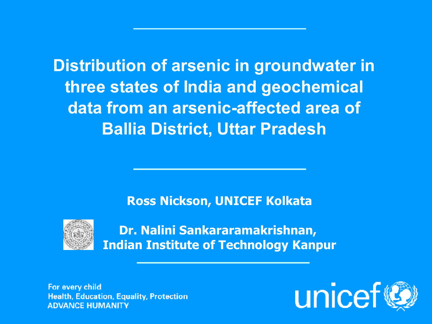**Distribution of arsenic in groundwater in three states of India and geochemical data from an arsenic-affected area of Ballia District, Uttar Pradesh**

**Ross Nickson, UNICEF Kolkata**



**Dr. Nalini Sankararamakrishnan, Indian Institute of Technology Kanpur**

For every child **Health, Education, Equality, Protection ADVANCE HUMANITY** 

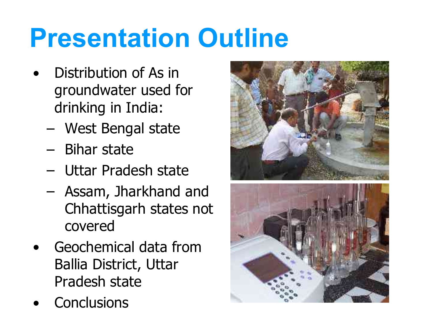# **Presentation Outline**

- Distribution of As in groundwater used for drinking in India:
	- West Bengal state
	- Bihar state
	- Uttar Pradesh state
	- Assam, Jharkhand and Chhattisgarh states not covered
- Geochemical data from Ballia District, Uttar Pradesh state
- **•** Conclusions

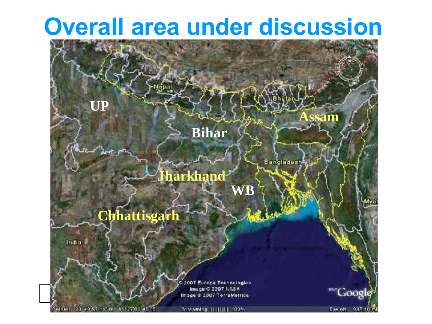#### **Overall area under discussion**

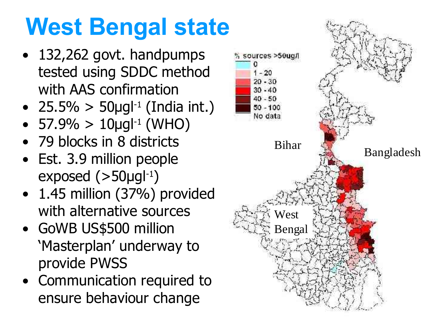# West Bengal state

- 132,262 govt. handpumps tested using SDDC method with AAS confirmation
- 25.5% >  $50 \mu g l^{-1}$  (India int.)
- 57.9% >  $10 \mu g l^{-1}$  (WHO)
- 79 blocks in 8 districts
- Est. 3.9 million people  $exposed (>50 \mu g l^{-1})$
- 1.45 million (37%) provided with alternative sources
- GoWB US\$500 million 'Masterplan' underway to provide PWSS
- ensure behaviour change • Communication required to

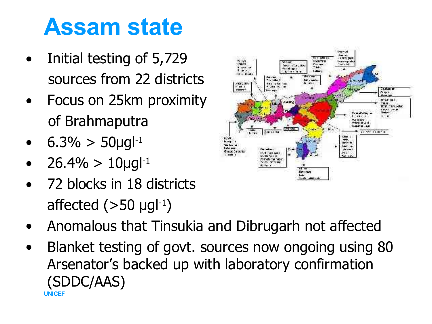#### **Assam state**

- Initial testing of 5,729 sources from 22 districts
- Focus on 25km proximity of Brahmaputra
- $6.3\% > 50 \mu g l^{-1}$
- $26.4\% > 10 \mu g^{1-1}$
- 72 blocks in 18 districts affected  $(>50 \text{ µgl}^{-1})$
- Anomalous that Tinsukia and Dibrugarh not affected
- **UNICEF** • Blanket testing of govt. sources now ongoing using 80 Arsenator's backed up with laboratory confirmation (SDDC/AAS)

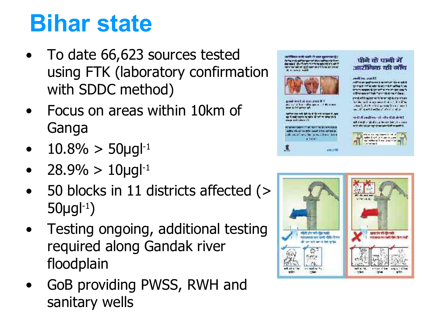### **Bihar state**

- To date 66,623 sources tested using FTK (laboratory confirmation with SDDC method)
- Focus on areas within 10km of Ganga
- $10.8\% > 50 \mu g^{1-1}$
- $28.9\% > 10 \mu g^{1-1}$
- 50 blocks in 11 districts affected (>  $50 \mu g$  $l^{-1}$
- Testing ongoing, additional testing required along Gandak river floodplain
- sanitary wells • GoB providing PWSS, RWH and





#### **TKRJU UHÜRER**

*Hallmark and the state of the light of the state of the state of the state of the state of the state of the state of the state of the state of the state of the state of the state of the state of the state of the state of* and the way were able to the first part of the function of the property for a client of as distant in The Coffee ship

usil Amdrey distribution ad Jung - sind can assume that the costs



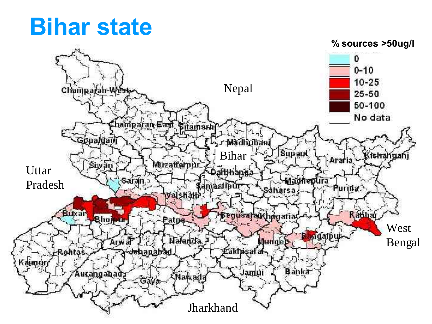#### **Bihar state**

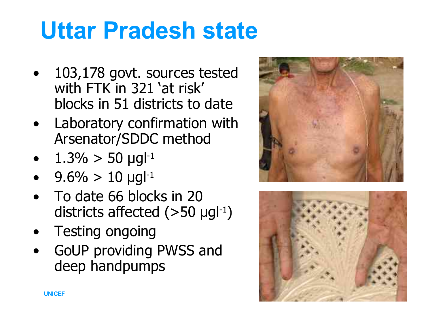## **Uttar Pradesh state**

- 103,178 govt. sources tested with FTK in 321 'at risk' blocks in 51 districts to date
- Laboratory confirmation with Arsenator/SDDC method
- $1.3\% > 50 \text{ µg}l^{-1}$
- $9.6\% > 10 \text{ µg}^{-1}$
- To date 66 blocks in 20 districts affected  $(>50 \text{ µg}l^{-1})$
- Testing ongoing
- GoUP providing PWSS and deep handpumps



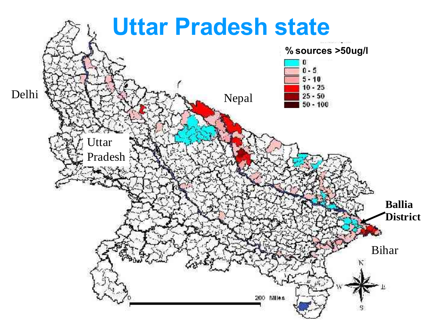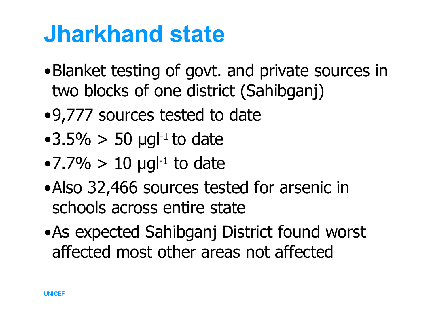#### **Jharkhand state**

- •Blanket testing of govt. and private sources in two blocks of one district (Sahibganj)
- •9,777 sources tested to date
- •3.5%  $>$  50 µgl<sup>-1</sup> to date
- $\bullet$  7.7% > 10 µgl<sup>-1</sup> to date
- •Also 32,466 sources tested for arsenic in schools across entire state
- •As expected Sahibganj District found worst affected most other areas not affected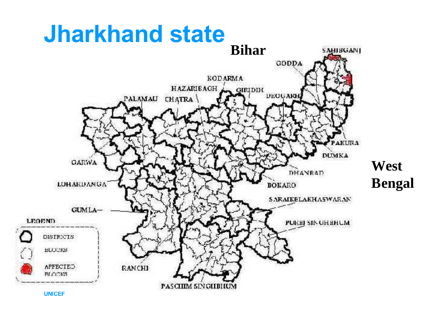# **Jharkhand state**

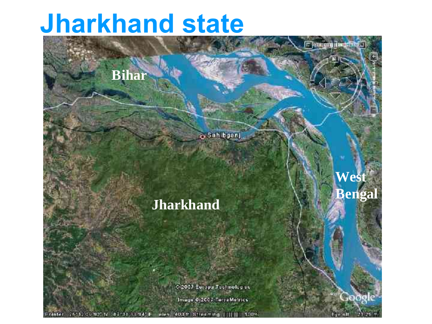#### **Jharkhand state**

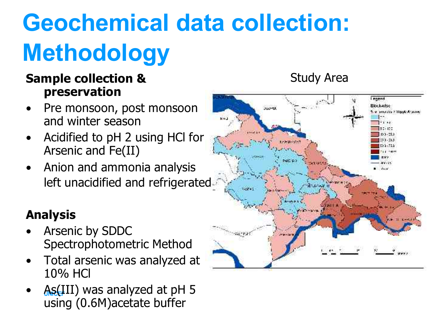# **Geochemical data collection: Methodology**

#### **Sample collection & preservation**

- Pre monsoon, post monsoon and winter season
- Acidified to pH 2 using HCl for Arsenic and Fe(II)
- Anion and ammonia analysis left unacidified and refrigerated

#### **Analysis**

- Arsenic by SDDC Spectrophotometric Method
- Total arsenic was analyzed at 10% HCl
- As(III) was analyzed at pH 5 using (0.6M)acetate buffer



Study Area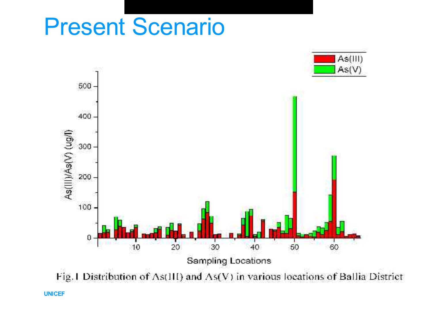#### Present Scenario



**UNICEF**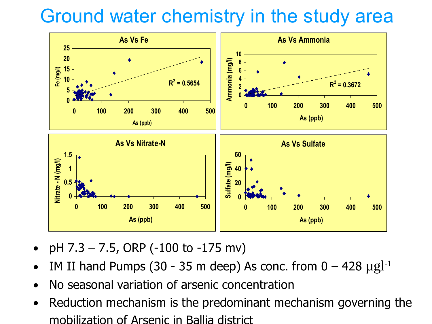#### Ground water chemistry in the study area



- pH 7.3 7.5, ORP (-100 to -175 mv)
- IM II hand Pumps (30 35 m deep) As conc. from  $0 428 \mu g l^{-1}$
- No seasonal variation of arsenic concentration
- Reduction mechanism is the predominant mechanism governing the mobilization of Arsenic in Ballia district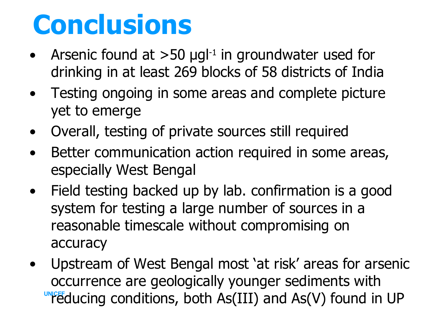# **Conclusions**

- Arsenic found at  $>50$  µgl<sup>-1</sup> in groundwater used for drinking in at least 269 blocks of 58 districts of India
- Testing ongoing in some areas and complete picture yet to emerge
- Overall, testing of private sources still required
- Better communication action required in some areas, especially West Bengal
- Field testing backed up by lab. confirmation is a good system for testing a large number of sources in a reasonable timescale without compromising on accuracy
- **UNICEF** ducing conditions, both As(III) and As(V) found in UP • Upstream of West Bengal most 'at risk' areas for arsenic occurrence are geologically younger sediments with